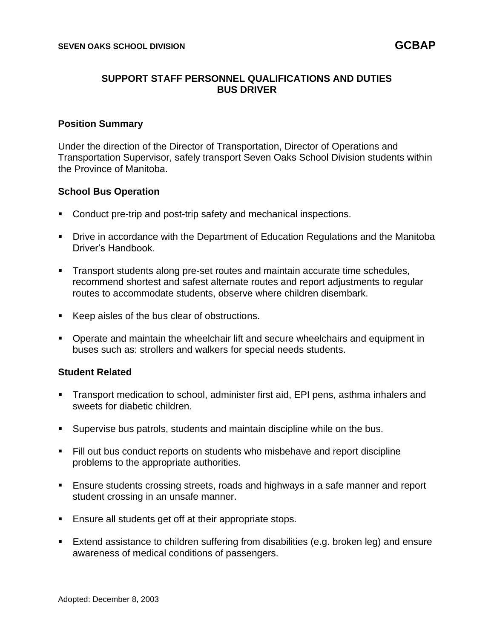## **SUPPORT STAFF PERSONNEL QUALIFICATIONS AND DUTIES BUS DRIVER**

#### **Position Summary**

Under the direction of the Director of Transportation, Director of Operations and Transportation Supervisor, safely transport Seven Oaks School Division students within the Province of Manitoba.

### **School Bus Operation**

- Conduct pre-trip and post-trip safety and mechanical inspections.
- **Drive in accordance with the Department of Education Regulations and the Manitoba** Driver's Handbook.
- **EXECT** Transport students along pre-set routes and maintain accurate time schedules, recommend shortest and safest alternate routes and report adjustments to regular routes to accommodate students, observe where children disembark.
- Keep aisles of the bus clear of obstructions.
- Operate and maintain the wheelchair lift and secure wheelchairs and equipment in buses such as: strollers and walkers for special needs students.

### **Student Related**

- Transport medication to school, administer first aid, EPI pens, asthma inhalers and sweets for diabetic children.
- Supervise bus patrols, students and maintain discipline while on the bus.
- Fill out bus conduct reports on students who misbehave and report discipline problems to the appropriate authorities.
- Ensure students crossing streets, roads and highways in a safe manner and report student crossing in an unsafe manner.
- Ensure all students get off at their appropriate stops.
- Extend assistance to children suffering from disabilities (e.g. broken leg) and ensure awareness of medical conditions of passengers.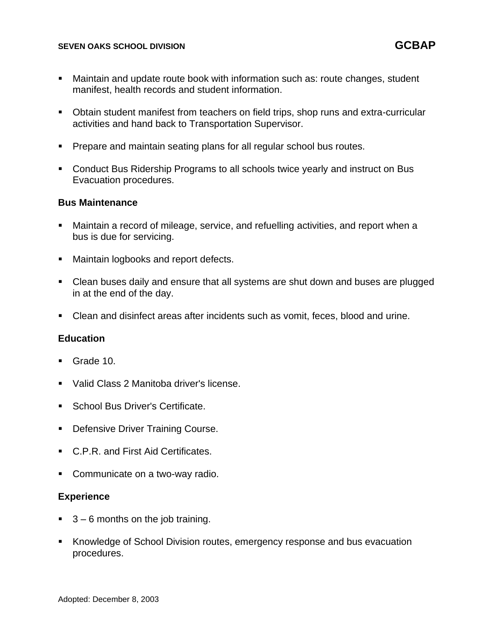- Maintain and update route book with information such as: route changes, student manifest, health records and student information.
- Obtain student manifest from teachers on field trips, shop runs and extra-curricular activities and hand back to Transportation Supervisor.
- Prepare and maintain seating plans for all regular school bus routes.
- Conduct Bus Ridership Programs to all schools twice yearly and instruct on Bus Evacuation procedures.

### **Bus Maintenance**

- Maintain a record of mileage, service, and refuelling activities, and report when a bus is due for servicing.
- Maintain logbooks and report defects.
- Clean buses daily and ensure that all systems are shut down and buses are plugged in at the end of the day.
- Clean and disinfect areas after incidents such as vomit, feces, blood and urine.

### **Education**

- Grade 10.
- Valid Class 2 Manitoba driver's license.
- **School Bus Driver's Certificate.**
- **Defensive Driver Training Course.**
- C.P.R. and First Aid Certificates.
- Communicate on a two-way radio.

#### **Experience**

- $\blacksquare$  3 6 months on the job training.
- Knowledge of School Division routes, emergency response and bus evacuation procedures.